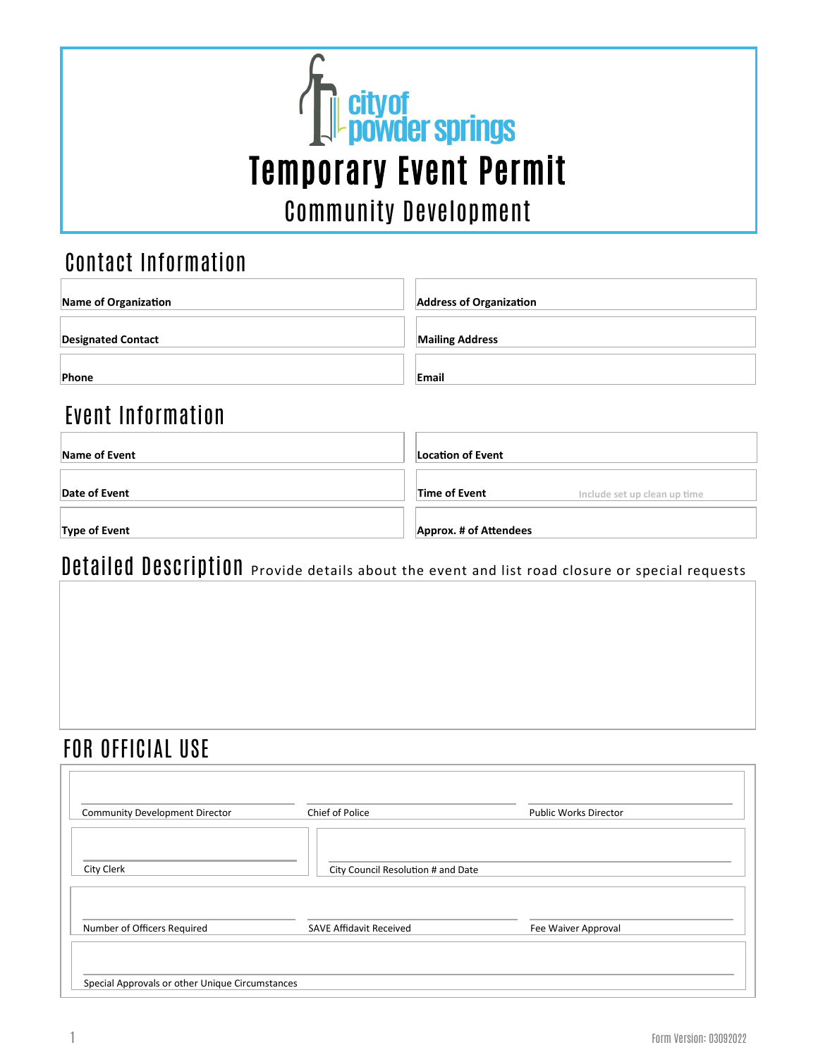

### Contact Information

| Name of Organization      | <b>Address of Organization</b> |
|---------------------------|--------------------------------|
| <b>Designated Contact</b> | <b>Mailing Address</b>         |
| Phone                     | Email                          |
| Event Information         |                                |
| Name of Event             | <b>Location of Event</b>       |

| Name of Event        | Location of Event      |                              |
|----------------------|------------------------|------------------------------|
| Date of Event        | Time of Event          | Include set up clean up time |
| <b>Type of Event</b> | Approx. # of Attendees |                              |

# Detailed Description Provide details about the event and list road closure or special requests

### FOR OFFICIAL USE

| <b>Community Development Director</b> | Chief of Police                    | <b>Public Works Director</b> |
|---------------------------------------|------------------------------------|------------------------------|
|                                       |                                    |                              |
| City Clerk                            | City Council Resolution # and Date |                              |
|                                       |                                    |                              |
|                                       |                                    |                              |
| Number of Officers Required           | <b>SAVE Affidavit Received</b>     | Fee Waiver Approval          |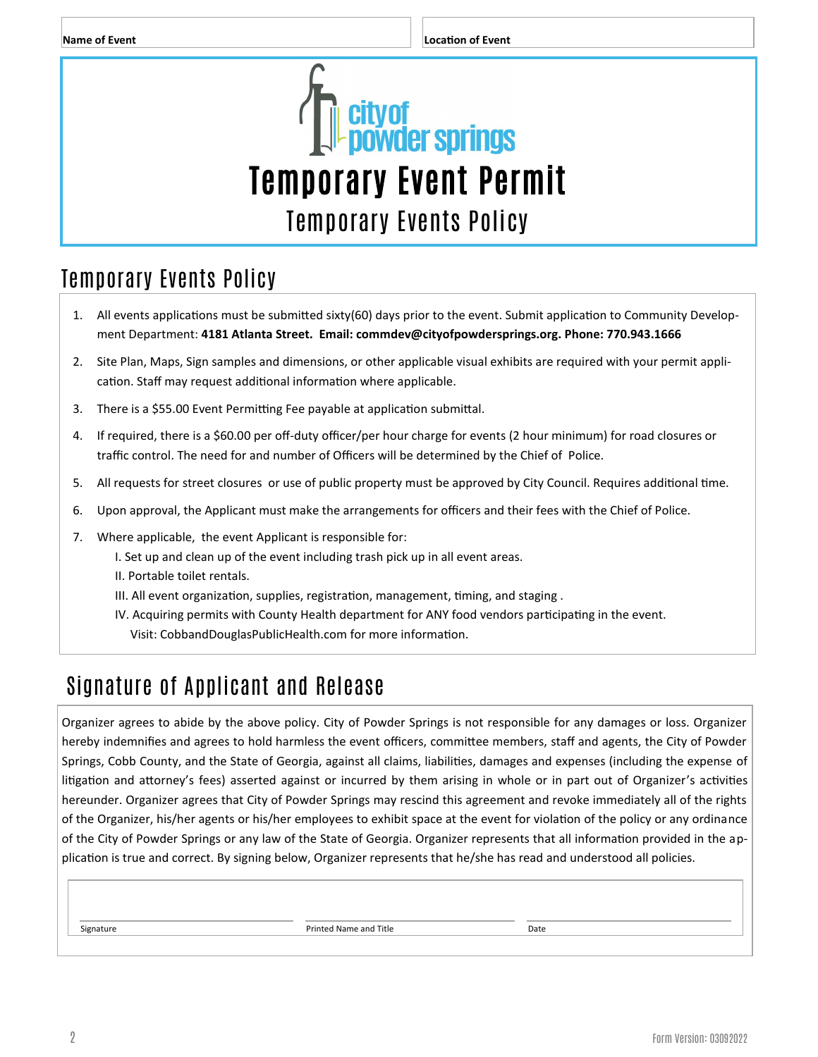

## Temporary Events Policy

- 1. All events applications must be submitted sixty(60) days prior to the event. Submit application to Community Development Department: **4181 Atlanta Street. Email: commdev@cityofpowdersprings.org. Phone: 770.943.1666**
- 2. Site Plan, Maps, Sign samples and dimensions, or other applicable visual exhibits are required with your permit application. Staff may request additional information where applicable.
- 3. There is a \$55.00 Event Permitting Fee payable at application submittal.
- 4. If required, there is a \$60.00 per off-duty officer/per hour charge for events (2 hour minimum) for road closures or traffic control. The need for and number of Officers will be determined by the Chief of Police.
- 5. All requests for street closures or use of public property must be approved by City Council. Requires additional time.
- 6. Upon approval, the Applicant must make the arrangements for officers and their fees with the Chief of Police.
- 7. Where applicable, the event Applicant is responsible for:
	- I. Set up and clean up of the event including trash pick up in all event areas.
	- II. Portable toilet rentals.
	- III. All event organization, supplies, registration, management, timing, and staging .
	- IV. Acquiring permits with County Health department for ANY food vendors participating in the event. Visit: CobbandDouglasPublicHealth.com for more information.

### Signature of Applicant and Release

Organizer agrees to abide by the above policy. City of Powder Springs is not responsible for any damages or loss. Organizer hereby indemnifies and agrees to hold harmless the event officers, committee members, staff and agents, the City of Powder Springs, Cobb County, and the State of Georgia, against all claims, liabilities, damages and expenses (including the expense of litigation and attorney's fees) asserted against or incurred by them arising in whole or in part out of Organizer's activities hereunder. Organizer agrees that City of Powder Springs may rescind this agreement and revoke immediately all of the rights of the Organizer, his/her agents or his/her employees to exhibit space at the event for violation of the policy or any ordinance of the City of Powder Springs or any law of the State of Georgia. Organizer represents that all information provided in the application is true and correct. By signing below, Organizer represents that he/she has read and understood all policies.

Signature Printed Name and Title Date